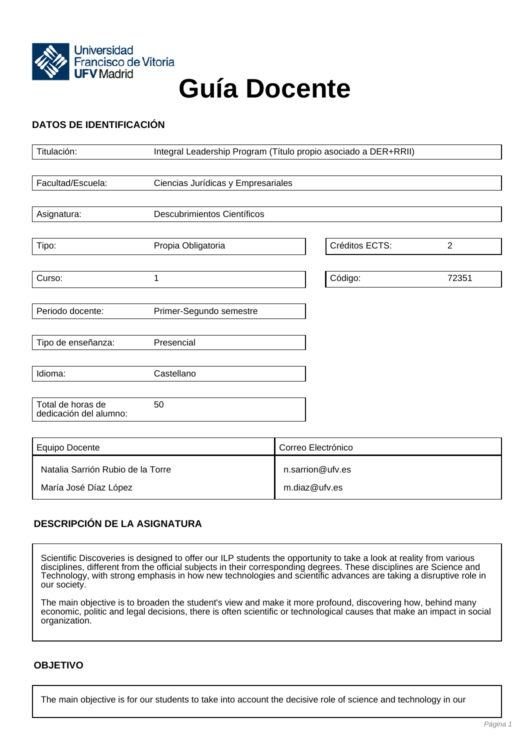

# **Guía Docente**

# **DATOS DE IDENTIFICACIÓN**

| Titulación:                                 | Integral Leadership Program (Título propio asociado a DER+RRII) |                    |                |                |
|---------------------------------------------|-----------------------------------------------------------------|--------------------|----------------|----------------|
|                                             |                                                                 |                    |                |                |
| Facultad/Escuela:                           | Ciencias Jurídicas y Empresariales                              |                    |                |                |
|                                             |                                                                 |                    |                |                |
| Asignatura:                                 | <b>Descubrimientos Científicos</b>                              |                    |                |                |
|                                             |                                                                 |                    |                |                |
| Tipo:                                       | Propia Obligatoria                                              |                    | Créditos ECTS: | $\overline{2}$ |
|                                             |                                                                 |                    |                |                |
| Curso:                                      | $\mathbf{1}$                                                    |                    | Código:        | 72351          |
|                                             |                                                                 |                    |                |                |
| Periodo docente:                            | Primer-Segundo semestre                                         |                    |                |                |
|                                             |                                                                 |                    |                |                |
| Tipo de enseñanza:                          | Presencial                                                      |                    |                |                |
|                                             |                                                                 |                    |                |                |
| Idioma:                                     | Castellano                                                      |                    |                |                |
|                                             |                                                                 |                    |                |                |
| Total de horas de<br>dedicación del alumno: | 50                                                              |                    |                |                |
|                                             |                                                                 |                    |                |                |
|                                             |                                                                 |                    |                |                |
| <b>Equipo Docente</b>                       |                                                                 | Correo Electrónico |                |                |
| Natalia Sarrión Rubio de la Torre           |                                                                 | n.sarrion@ufv.es   |                |                |
| María José Díaz López                       |                                                                 | m.diaz@ufv.es      |                |                |

## **DESCRIPCIÓN DE LA ASIGNATURA**

Scientific Discoveries is designed to offer our ILP students the opportunity to take a look at reality from various disciplines, different from the official subjects in their corresponding degrees. These disciplines are Science and Technology, with strong emphasis in how new technologies and scientific advances are taking a disruptive role in our society.

The main objective is to broaden the student's view and make it more profound, discovering how, behind many economic, politic and legal decisions, there is often scientific or technological causes that make an impact in social organization.

#### **OBJETIVO**

The main objective is for our students to take into account the decisive role of science and technology in our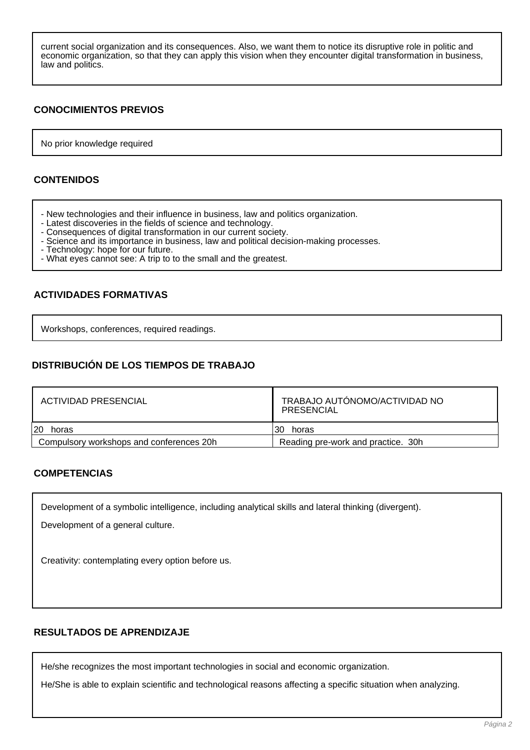current social organization and its consequences. Also, we want them to notice its disruptive role in politic and economic organization, so that they can apply this vision when they encounter digital transformation in business, law and politics.

## **CONOCIMIENTOS PREVIOS**

No prior knowledge required

### **CONTENIDOS**

- New technologies and their influence in business, law and politics organization.
- Latest discoveries in the fields of science and technology.
- Consequences of digital transformation in our current society.
- Science and its importance in business, law and political decision-making processes.
- Technology: hope for our future.
- What eyes cannot see: A trip to to the small and the greatest.

## **ACTIVIDADES FORMATIVAS**

Workshops, conferences, required readings.

## **DISTRIBUCIÓN DE LOS TIEMPOS DE TRABAJO**

| ACTIVIDAD PRESENCIAL                     | TRABAJO AUTÓNOMO/ACTIVIDAD NO<br>PRESENCIAL |  |  |
|------------------------------------------|---------------------------------------------|--|--|
| 120<br>horas                             | 30<br>horas                                 |  |  |
| Compulsory workshops and conferences 20h | Reading pre-work and practice. 30h          |  |  |

## **COMPETENCIAS**

Development of a symbolic intelligence, including analytical skills and lateral thinking (divergent).

Development of a general culture.

Creativity: contemplating every option before us.

#### **RESULTADOS DE APRENDIZAJE**

He/she recognizes the most important technologies in social and economic organization.

He/She is able to explain scientific and technological reasons affecting a specific situation when analyzing.